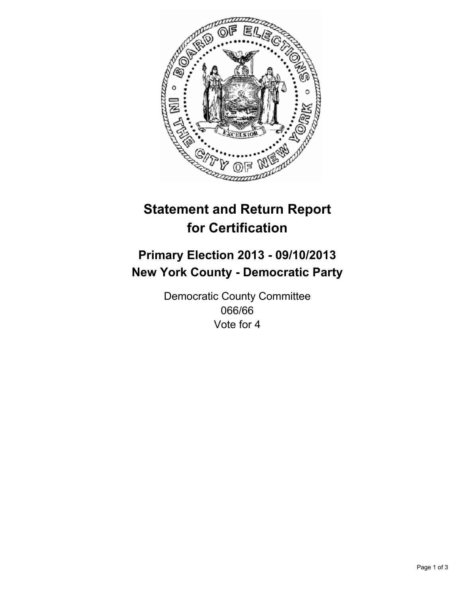

# **Statement and Return Report for Certification**

# **Primary Election 2013 - 09/10/2013 New York County - Democratic Party**

Democratic County Committee 066/66 Vote for 4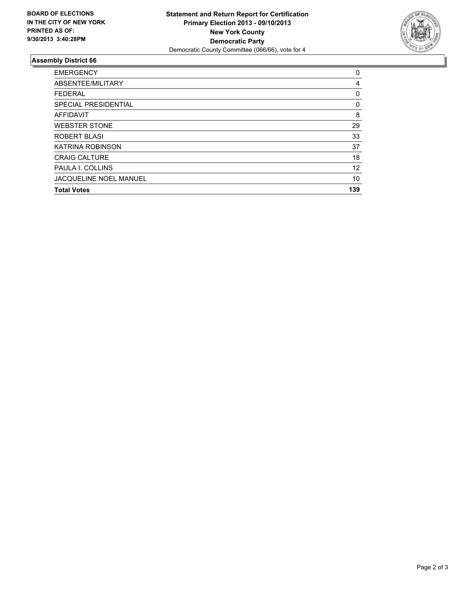

## **Assembly District 66**

| <b>EMERGENCY</b>              | 0   |
|-------------------------------|-----|
| ABSENTEE/MILITARY             | 4   |
| <b>FEDERAL</b>                | 0   |
| SPECIAL PRESIDENTIAL          | 0   |
| <b>AFFIDAVIT</b>              | 8   |
| <b>WEBSTER STONE</b>          | 29  |
| ROBERT BLASI                  | 33  |
| <b>KATRINA ROBINSON</b>       | 37  |
| <b>CRAIG CALTURE</b>          | 18  |
| PAULA I. COLLINS              | 12  |
| <b>JACQUELINE NOEL MANUEL</b> | 10  |
| <b>Total Votes</b>            | 139 |